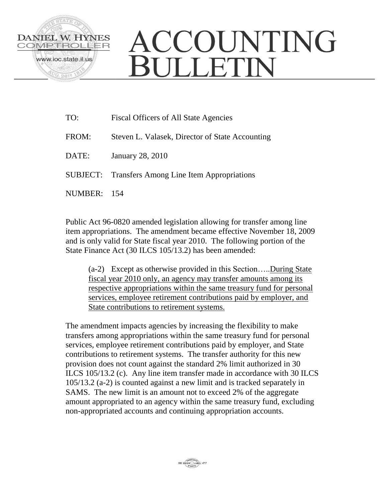

## ACCOUNTING **BULLETIN**

| TO:     | <b>Fiscal Officers of All State Agencies</b>             |
|---------|----------------------------------------------------------|
| FROM:   | Steven L. Valasek, Director of State Accounting          |
| DATE:   | <b>January 28, 2010</b>                                  |
|         | <b>SUBJECT:</b> Transfers Among Line Item Appropriations |
| NUMBER: | - 154                                                    |

Public Act 96-0820 amended legislation allowing for transfer among line item appropriations. The amendment became effective November 18, 2009 and is only valid for State fiscal year 2010. The following portion of the State Finance Act (30 ILCS 105/13.2) has been amended:

(a-2) Except as otherwise provided in this Section…..During State fiscal year 2010 only, an agency may transfer amounts among its respective appropriations within the same treasury fund for personal services, employee retirement contributions paid by employer, and State contributions to retirement systems.

The amendment impacts agencies by increasing the flexibility to make transfers among appropriations within the same treasury fund for personal services, employee retirement contributions paid by employer, and State contributions to retirement systems. The transfer authority for this new provision does not count against the standard 2% limit authorized in 30 ILCS 105/13.2 (c). Any line item transfer made in accordance with 30 ILCS 105/13.2 (a-2) is counted against a new limit and is tracked separately in SAMS. The new limit is an amount not to exceed 2% of the aggregate amount appropriated to an agency within the same treasury fund, excluding non-appropriated accounts and continuing appropriation accounts.